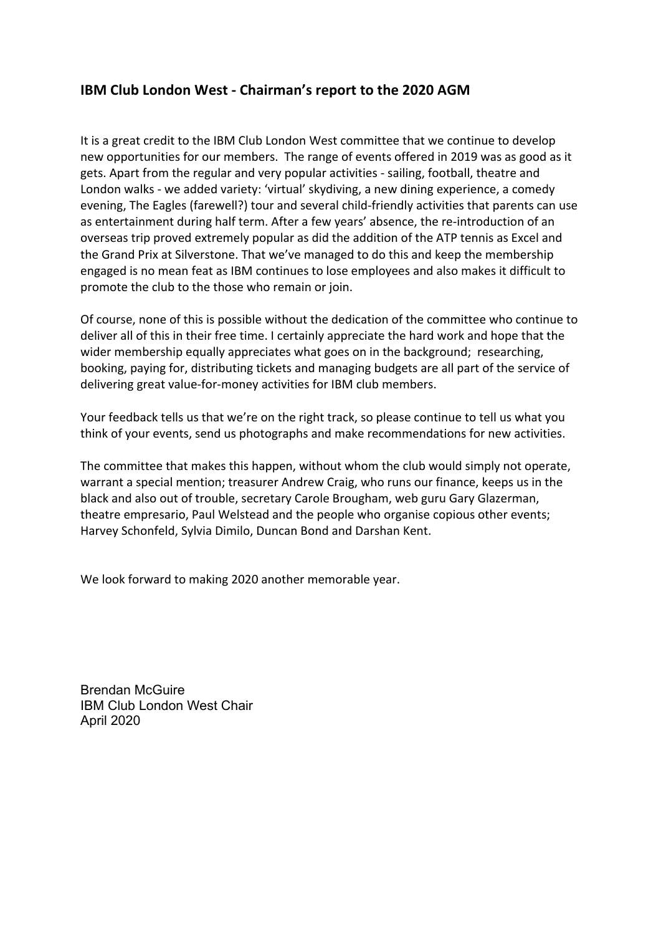## **IBM Club London West - Chairman's report to the 2020 AGM**

It is a great credit to the IBM Club London West committee that we continue to develop new opportunities for our members. The range of events offered in 2019 was as good as it gets. Apart from the regular and very popular activities - sailing, football, theatre and London walks - we added variety: 'virtual' skydiving, a new dining experience, a comedy evening, The Eagles (farewell?) tour and several child-friendly activities that parents can use as entertainment during half term. After a few years' absence, the re-introduction of an overseas trip proved extremely popular as did the addition of the ATP tennis as Excel and the Grand Prix at Silverstone. That we've managed to do this and keep the membership engaged is no mean feat as IBM continues to lose employees and also makes it difficult to promote the club to the those who remain or join.

Of course, none of this is possible without the dedication of the committee who continue to deliver all of this in their free time. I certainly appreciate the hard work and hope that the wider membership equally appreciates what goes on in the background; researching, booking, paying for, distributing tickets and managing budgets are all part of the service of delivering great value-for-money activities for IBM club members.

Your feedback tells us that we're on the right track, so please continue to tell us what you think of your events, send us photographs and make recommendations for new activities.

The committee that makes this happen, without whom the club would simply not operate, warrant a special mention; treasurer Andrew Craig, who runs our finance, keeps us in the black and also out of trouble, secretary Carole Brougham, web guru Gary Glazerman, theatre empresario, Paul Welstead and the people who organise copious other events; Harvey Schonfeld, Sylvia Dimilo, Duncan Bond and Darshan Kent.

We look forward to making 2020 another memorable year.

Brendan McGuire IBM Club London West Chair April 2020